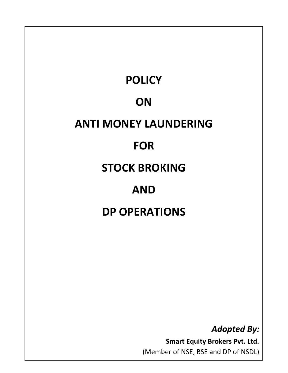

*Adopted By:* 

**Smart Equity Brokers Pvt. Ltd.**  (Member of NSE, BSE and DP of NSDL)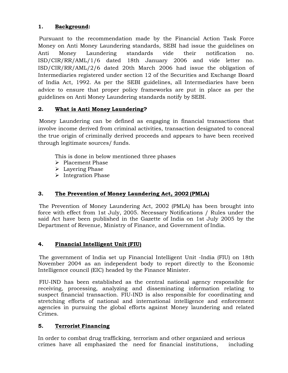## **1. Background:**

Pursuant to the recommendation made by the Financial Action Task Force Money on Anti Money Laundering standards, SEBI had issue the guidelines on Anti Money Laundering standards vide their notification no. ISD/CIR/RR/AML/1/6 dated 18th January 2006 and vide letter no. ISD/CIR/RR/AML/2/6 dated 20th March 2006 had issue the obligation of Intermediaries registered under section 12 of the Securities and Exchange Board of India Act, 1992. As per the SEBI guidelines, all Intermediaries have been advice to ensure that proper policy frameworks are put in place as per the guidelines on Anti Money Laundering standards notify by SEBI.

# **2. What is Anti Money Laundering?**

Money Laundering can be defined as engaging in financial transactions that involve income derived from criminal activities, transaction designated to conceal the true origin of criminally derived proceeds and appears to have been received through legitimate sources/ funds.

This is done in below mentioned three phases

- > Placement Phase
- $\blacktriangleright$  Layering Phase
- $\triangleright$  Integration Phase

# **3. The Prevention of Money Laundering Act, 2002 (PMLA)**

The Prevention of Money Laundering Act, 2002 (PMLA) has been brought into force with effect from 1st July, 2005. Necessary Notifications / Rules under the said Act have been published in the Gazette of India on 1st July 2005 by the Department of Revenue, Ministry of Finance, and Government of India.

## **4. Financial Intelligent Unit (FIU)**

The government of India set up Financial Intelligent Unit -India (FIU) on 18th November 2004 as an independent body to report directly to the Economic Intelligence council (EIC) headed by the Finance Minister.

FIU-IND has been established as the central national agency responsible for receiving, processing, analyzing and disseminating information relating to suspect financial transaction. FIU-IND is also responsible for coordinating and stretching efforts of national and international intelligence and enforcement agencies in pursuing the global efforts against Money laundering and related Crimes.

## **5. Terrorist Financing**

In order to combat drug trafficking, terrorism and other organized and serious crimes have all emphasized the need for financial institutions, including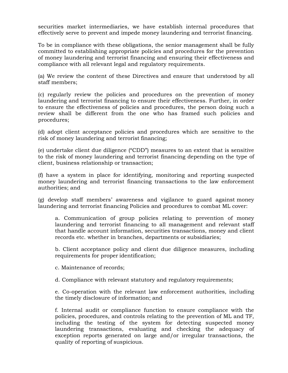securities market intermediaries, we have establish internal procedures that effectively serve to prevent and impede money laundering and terrorist financing.

To be in compliance with these obligations, the senior management shall be fully committed to establishing appropriate policies and procedures for the prevention of money laundering and terrorist financing and ensuring their effectiveness and compliance with all relevant legal and regulatory requirements.

(a) We review the content of these Directives and ensure that understood by all staff members;

(c) regularly review the policies and procedures on the prevention of money laundering and terrorist financing to ensure their effectiveness. Further, in order to ensure the effectiveness of policies and procedures, the person doing such a review shall be different from the one who has framed such policies and procedures;

(d) adopt client acceptance policies and procedures which are sensitive to the risk of money laundering and terrorist financing;

(e) undertake client due diligence ("CDD") measures to an extent that is sensitive to the risk of money laundering and terrorist financing depending on the type of client, business relationship or transaction;

(f) have a system in place for identifying, monitoring and reporting suspected money laundering and terrorist financing transactions to the law enforcement authorities; and

(g) develop staff members' awareness and vigilance to guard against money laundering and terrorist financing Policies and procedures to combat ML cover:

a. Communication of group policies relating to prevention of money laundering and terrorist financing to all management and relevant staff that handle account information, securities transactions, money and client records etc. whether in branches, departments or subsidiaries;

b. Client acceptance policy and client due diligence measures, including requirements for proper identification;

c. Maintenance of records;

d. Compliance with relevant statutory and regulatory requirements;

e. Co-operation with the relevant law enforcement authorities, including the timely disclosure of information; and

f. Internal audit or compliance function to ensure compliance with the policies, procedures, and controls relating to the prevention of ML and TF, including the testing of the system for detecting suspected money laundering transactions, evaluating and checking the adequacy of exception reports generated on large and/or irregular transactions, the quality of reporting of suspicious.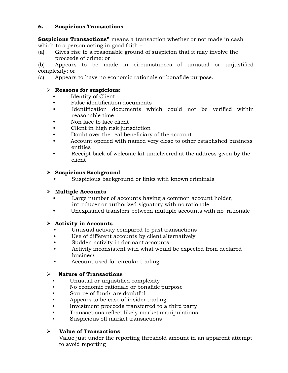## **6. Suspicious Transactions**

**Suspicions Transactions"** means a transaction whether or not made in cash which to a person acting in good faith –

(a) Gives rise to a reasonable ground of suspicion that it may involve the proceeds of crime; or

(b) Appears to be made in circumstances of unusual or unjustified complexity; or

(c) Appears to have no economic rationale or bonafide purpose.

### **Reasons for suspicious:**

- Identity of Client
- False identification documents
- Identification documents which could not be verified within reasonable time
- Non face to face client
- Client in high risk jurisdiction
- Doubt over the real beneficiary of the account
- Account opened with named very close to other established business entities
- Receipt back of welcome kit undelivered at the address given by the client

## **Suspicious Background**

Suspicious background or links with known criminals

## **Multiple Accounts**

- Large number of accounts having a common account holder, introducer or authorized signatory with no rationale
- Unexplained transfers between multiple accounts with no rationale

### **Activity in Accounts**

- Unusual activity compared to past transactions
- Use of different accounts by client alternatively
- Sudden activity in dormant accounts
- Activity inconsistent with what would be expected from declared business
- Account used for circular trading

### **Nature of Transactions**

- Unusual or unjustified complexity
- No economic rationale or bonafide purpose
- Source of funds are doubtful
- Appears to be case of insider trading
- Investment proceeds transferred to a third party
- Transactions reflect likely market manipulations
- Suspicious off market transactions

## **Value of Transactions**

Value just under the reporting threshold amount in an apparent attempt to avoid reporting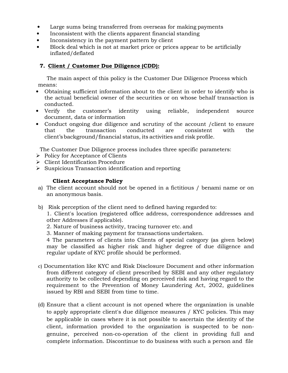- Large sums being transferred from overseas for making payments
- Inconsistent with the clients apparent financial standing
- Inconsistency in the payment pattern by client
- Block deal which is not at market price or prices appear to be artificially inflated/deflated

## **7. Client / Customer Due Diligence (CDD):**

The main aspect of this policy is the Customer Due Diligence Process which means:

- Obtaining sufficient information about to the client in order to identify who is the actual beneficial owner of the securities or on whose behalf transaction is conducted.
- Verify the customer's identity using reliable, independent source document, data or information
- Conduct ongoing due diligence and scrutiny of the account /client to ensure that the transaction conducted are consistent with the client's background/financial status, its activities and risk profile.

The Customer Due Diligence process includes three specific parameters:

- $\triangleright$  Policy for Acceptance of Clients
- Client Identification Procedure
- $\triangleright$  Suspicious Transaction identification and reporting

#### **Client Acceptance Policy**

- a) The client account should not be opened in a fictitious / benami name or on an anonymous basis.
- b) Risk perception of the client need to defined having regarded to:

1. Client's location (registered office address, correspondence addresses and other Addresses if applicable).

- 2. Nature of business activity, tracing turnover etc. and
- 3. Manner of making payment for transactions undertaken.

4 The parameters of clients into Clients of special category (as given below) may be classified as higher risk and higher degree of due diligence and regular update of KYC profile should be performed.

- c) Documentation like KYC and Risk Disclosure Document and other information from different category of client prescribed by SEBI and any other regulatory authority to be collected depending on perceived risk and having regard to the requirement to the Prevention of Money Laundering Act, 2002, guidelines issued by RBI and SEBI from time to time.
- (d) Ensure that a client account is not opened where the organization is unable to apply appropriate client's due diligence measures / KYC policies. This may be applicable in cases where it is not possible to ascertain the identity of the client, information provided to the organization is suspected to be nongenuine, perceived non-co-operation of the client in providing full and complete information. Discontinue to do business with such a person and file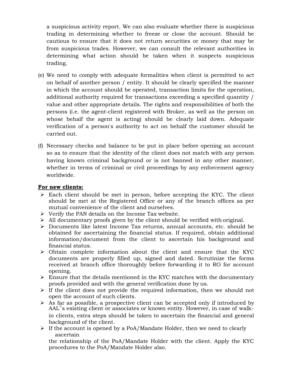a suspicious activity report. We can also evaluate whether there is suspicious trading in determining whether to freeze or close the account. Should be cautious to ensure that it does not return securities or money that may be from suspicious trades. However, we can consult the relevant authorities in determining what action should be taken when it suspects suspicious trading.

- (e) We need to comply with adequate formalities when client is permitted to act on behalf of another person / entity. It should be clearly specified the manner in which the account should be operated, transaction limits for the operation, additional authority required for transactions exceeding a specified quantity / value and other appropriate details. The rights and responsibilities of both the persons (i.e. the agent-client registered with Broker, as well as the person on whose behalf the agent is acting) should be clearly laid down. Adequate verification of a person's authority to act on behalf the customer should be carried out.
- (f) Necessary checks and balance to be put in place before opening an account so as to ensure that the identity of the client does not match with any person having known criminal background or is not banned in any other manner, whether in terms of criminal or civil proceedings by any enforcement agency worldwide.

#### **For new clients:**

- $\triangleright$  Each client should be met in person, before accepting the KYC. The client should be met at the Registered Office or any of the branch offices as per mutual convenience of the client and ourselves.
- $\triangleright$  Verify the PAN details on the Income Tax website.
- $\triangleright$  All documentary proofs given by the client should be verified with original.
- $\triangleright$  Documents like latest Income Tax returns, annual accounts, etc. should be obtained for ascertaining the financial status. If required, obtain additional information/document from the client to ascertain his background and financial status.
- $\triangleright$  Obtain complete information about the client and ensure that the KYC documents are properly filled up, signed and dated. Scrutinize the forms received at branch office thoroughly before forwarding it to RO for account opening.
- $\triangleright$  Ensure that the details mentioned in the KYC matches with the documentary proofs provided and with the general verification done by us.
- $\triangleright$  If the client does not provide the required information, then we should not open the account of such clients.
- $\triangleright$  As far as possible, a prospective client can be accepted only if introduced by AAL"s existing client or associates or known entity. However, in case of walkin clients, extra steps should be taken to ascertain the financial and general background of the client.
- $\triangleright$  If the account is opened by a PoA/Mandate Holder, then we need to clearly ascertain

the relationship of the PoA/Mandate Holder with the client. Apply the KYC procedures to the PoA/Mandate Holder also.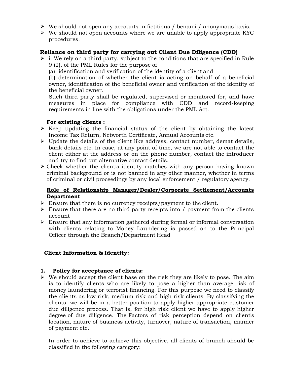- $\triangleright$  We should not open any accounts in fictitious / benami / anonymous basis.
- $\triangleright$  We should not open accounts where we are unable to apply appropriate KYC procedures.

### **Reliance on third party for carrying out Client Due Diligence (CDD)**

- $\triangleright$  i. We rely on a third party, subject to the conditions that are specified in Rule 9 (2), of the PML Rules for the purpose of
	- (a) identification and verification of the identity of a client and

(b) determination of whether the client is acting on behalf of a beneficial owner, identification of the beneficial owner and verification of the identity of the beneficial owner.

Such third party shall be regulated, supervised or monitored for, and have measures in place for compliance with CDD and record-keeping requirements in line with the obligations under the PML Act.

#### **For existing clients :**

- $\triangleright$  Keep updating the financial status of the client by obtaining the latest Income Tax Return, Networth Certificate, Annual Accounts etc.
- $\triangleright$  Update the details of the client like address, contact number, demat details, bank details etc. In case, at any point of time, we are not able to contact the client either at the address or on the phone number, contact the introducer and try to find out alternative contact details.
- $\triangleright$  Check whether the client's identity matches with any person having known criminal background or is not banned in any other manner, whether in terms of criminal or civil proceedings by any local enforcement / regulatory agency.

### **Role of Relationship Manager/Dealer/Corporate Settlement/Accounts Department**

- $\triangleright$  Ensure that there is no currency receipts/payment to the client.
- $\triangleright$  Ensure that there are no third party receipts into / payment from the clients account
- $\triangleright$  Ensure that any information gathered during formal or informal conversation with clients relating to Money Laundering is passed on to the Principal Officer through the Branch/Department Head

### **Client Information & Identity:**

#### **1. Policy for acceptance of clients:**

 $\triangleright$  We should accept the client base on the risk they are likely to pose. The aim is to identify clients who are likely to pose a higher than average risk of money laundering or terrorist financing. For this purpose we need to classify the clients as low risk, medium risk and high risk clients. By classifying the clients, we will be in a better position to apply higher appropriate customer due diligence process. That is, for high risk client we have to apply higher degree of due diligence. The Factors of risk perception depend on clients location, nature of business activity, turnover, nature of transaction, manner of payment etc.

In order to achieve to achieve this objective, all clients of branch should be classified in the following category: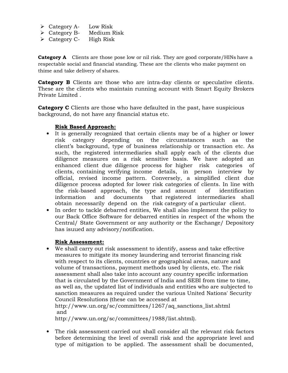- $\triangleright$  Category A- Low Risk
- $\triangleright$  Category B- Medium Risk
- $\triangleright$  Category C- High Risk

**Category A** Clients are those pose low or nil risk. They are good corporate/HINs have a respectable social and financial standing. These are the clients who make payment on thime and take delivery of shares.

**Category B** Clients are those who are intra-day clients or speculative clients. These are the clients who maintain running account with Smart Equity Brokers Private Limited .

**Category C** Clients are those who have defaulted in the past, have suspicious background, do not have any financial status etc.

#### **Risk Based Approach:**

- It is generally recognized that certain clients may be of a higher or lower risk category depending on the circumstances such as the client's background, type of business relationship or transaction etc. As such, the registered intermediaries shall apply each of the clients due diligence measures on a risk sensitive basis. We have adopted an enhanced client due diligence process for higher risk categories of clients, containing verifying income details, in person interview by official, revised income pattern. Conversely, a simplified client due diligence process adopted for lower risk categories of clients. In line with the risk-based approach, the type and amount of identification information and documents that registered intermediaries shall obtain necessarily depend on the risk category of a particular client.
- In order to tackle debarred entities, We shall also implement the policy to our Back Office Software for debarred entities in respect of the whom the Central/ State Government or any authority or the Exchange/ Depository has isuued any advisory/notification.

#### **Risk Assessment:**

• We shall carry out risk assessment to identify, assess and take effective measures to mitigate its money laundering and terrorist financing risk with respect to its clients, countries or geographical areas, nature and volume of transactions, payment methods used by clients, etc. The risk assessment shall also take into account any country specific information that is circulated by the Government of India and SEBI from time to time, as well as, the updated list of individuals and entities who are subjected to sanction measures as required under the various United Nations' Security Council Resolutions (these can be accessed at

http://www.un.org/sc/committees/1267/aq\_sanctions\_list.shtml and

http://www.un.org/sc/committees/1988/list.shtml).

• The risk assessment carried out shall consider all the relevant risk factors before determining the level of overall risk and the appropriate level and type of mitigation to be applied. The assessment shall be documented,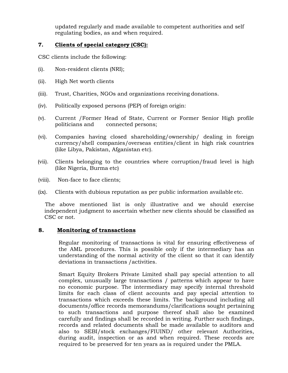updated regularly and made available to competent authorities and self regulating bodies, as and when required.

### **7. Clients of special category (CSC):**

CSC clients include the following:

- (i). Non-resident clients (NRI);
- (ii). High Net worth clients
- (iii). Trust, Charities, NGOs and organizations receiving donations.
- (iv). Politically exposed persons (PEP) of foreign origin:
- (v). Current /Former Head of State, Current or Former Senior High profile politicians and connected persons;
- (vi). Companies having closed shareholding/ownership/ dealing in foreign currency/shell companies/overseas entities/client in high risk countries (like Libya, Pakistan, Afganistan etc).
- (vii). Clients belonging to the countries where corruption/fraud level is high (like Nigeria, Burma etc)
- (viii). Non-face to face clients;
- (ix). Clients with dubious reputation as per public information available etc.

The above mentioned list is only illustrative and we should exercise independent judgment to ascertain whether new clients should be classified as CSC or not.

### **8. Monitoring of transactions**

Regular monitoring of transactions is vital for ensuring effectiveness of the AML procedures. This is possible only if the intermediary has an understanding of the normal activity of the client so that it can identify deviations in transactions /activities.

Smart Equity Brokers Private Limited shall pay special attention to all complex, unusually large transactions / patterns which appear to have no economic purpose. The intermediary may specify internal threshold limits for each class of client accounts and pay special attention to transactions which exceeds these limits. The background including all documents/office records memorandums/clarifications sought pertaining to such transactions and purpose thereof shall also be examined carefully and findings shall be recorded in writing. Further such findings, records and related documents shall be made available to auditors and also to SEBI/stock exchanges/FIUIND/ other relevant Authorities, during audit, inspection or as and when required. These records are required to be preserved for ten years as is required under the PMLA.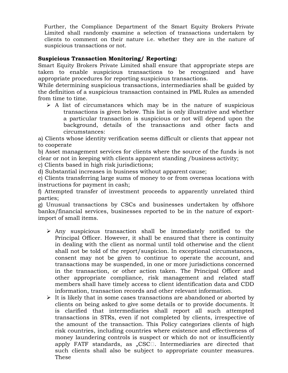Further, the Compliance Department of the Smart Equity Brokers Private Limited shall randomly examine a selection of transactions undertaken by clients to comment on their nature i.e. whether they are in the nature of suspicious transactions or not.

## **Suspicious Transaction Monitoring/ Reporting:**

Smart Equity Brokers Private Limited shall ensure that appropriate steps are taken to enable suspicious transactions to be recognized and have appropriate procedures for reporting suspicious transactions.

While determining suspicious transactions, intermediaries shall be guided by the definition of a suspicious transaction contained in PML Rules as amended from time to time.

 $\triangleright$  A list of circumstances which may be in the nature of suspicious transactions is given below. This list is only illustrative and whether a particular transaction is suspicious or not will depend upon the background, details of the transactions and other facts and circumstances:

a) Clients whose identity verification seems difficult or clients that appear not to cooperate

b) Asset management services for clients where the source of the funds is not clear or not in keeping with clients apparent standing /business activity;

c) Clients based in high risk jurisdictions;

d) Substantial increases in business without apparent cause;

e) Clients transferring large sums of money to or from overseas locations with instructions for payment in cash;

f) Attempted transfer of investment proceeds to apparently unrelated third parties;

g) Unusual transactions by CSCs and businesses undertaken by offshore banks/financial services, businesses reported to be in the nature of exportimport of small items.

- $\triangleright$  Any suspicious transaction shall be immediately notified to the Principal Officer. However, it shall be ensured that there is continuity in dealing with the client as normal until told otherwise and the client shall not be told of the report/suspicion. In exceptional circumstances, consent may not be given to continue to operate the account, and transactions may be suspended, in one or more jurisdictions concerned in the transaction, or other action taken. The Principal Officer and other appropriate compliance, risk management and related staff members shall have timely access to client identification data and CDD information, transaction records and other relevant information.
- $\triangleright$  It is likely that in some cases transactions are abandoned or aborted by clients on being asked to give some details or to provide documents. It is clarified that intermediaries shall report all such attempted transactions in STRs, even if not completed by clients, irrespective of the amount of the transaction. This Policy categorizes clients of high risk countries, including countries where existence and effectiveness of money laundering controls is suspect or which do not or insufficiently apply FATF standards, as  $\mathbb{R}$ CSC $\Box$ . Intermediaries are directed that such clients shall also be subject to appropriate counter measures. These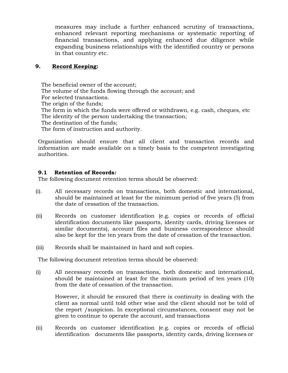measures may include a further enhanced scrutiny of transactions, enhanced relevant reporting mechanisms or systematic reporting of financial transactions, and applying enhanced due diligence while expanding business relationships with the identified country or persons in that country etc.

### **9. Record Keeping:**

The beneficial owner of the account; The volume of the funds flowing through the account; and For selected transactions. The origin of the funds; The form in which the funds were offered or withdrawn, e.g. cash, cheques, etc The identity of the person undertaking the transaction; The destination of the funds; The form of instruction and authority.

Organization should ensure that all client and transaction records and information are made available on a timely basis to the competent investigating authorities.

### **9.1 Retention of Records***:*

The following document retention terms should be observed:

- (i)*.* All necessary records on transactions, both domestic and international, should be maintained at least for the minimum period of five years (5) from the date of cessation of the transaction.
- (ii) Records on customer identification (e.g. copies or records of official identification documents like passports, identity cards, driving licenses or similar documents), account files and business correspondence should also be kept for the ten years from the date of cessation of the transaction.
- (iii) Records shall be maintained in hard and soft copies.

The following document retention terms should be observed:

(i) All necessary records on transactions, both domestic and international, should be maintained at least for the minimum period of ten years (10) from the date of cessation of the transaction.

However, it should be ensured that there is continuity in dealing with the client as normal until told other wise and the client should not be told of the report /suspicion. In exceptional circumstances, consent may not be given to continue to operate the account, and transactions

(ii) Records on customer identification (e.g. copies or records of official identification documents like passports, identity cards, driving licenses or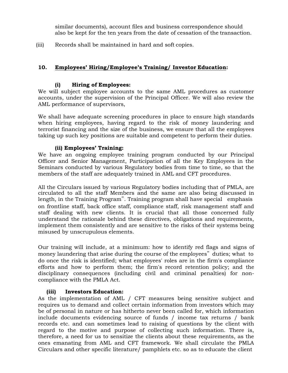similar documents), account files and business correspondence should also be kept for the ten years from the date of cessation of the transaction.

(iii) Records shall be maintained in hard and soft copies.

### **10. Employees' Hiring/Employee's Training/ Investor Education:**

#### **(i) Hiring of Employees:**

We will subject employee accounts to the same AML procedures as customer accounts, under the supervision of the Principal Officer. We will also review the AML performance of supervisors,

We shall have adequate screening procedures in place to ensure high standards when hiring employees, having regard to the risk of money laundering and terrorist financing and the size of the business, we ensure that all the employees taking up such key positions are suitable and competent to perform their duties.

#### **(ii) Employees' Training:**

We have an ongoing employee training program conducted by our Principal Officer and Senior Management, Participation of all the Key Employees in the Seminars conducted by various Regulatory bodies from time to time, so that the members of the staff are adequately trained in AML and CFT procedures.

All the Circulars issued by various Regulatory bodies including that of PMLA, are circulated to all the staff Members and the same are also being discussed in length, in the Training Program". Training program shall have special emphasis on frontline staff, back office staff, compliance staff, risk management staff and staff dealing with new clients. It is crucial that all those concerned fully understand the rationale behind these directives, obligations and requirements, implement them consistently and are sensitive to the risks of their systems being misused by unscrupulous elements.

Our training will include, at a minimum: how to identify red flags and signs of money laundering that arise during the course of the employees" duties; what to do once the risk is identified; what employees' roles are in the firm's compliance efforts and how to perform them; the firm's record retention policy; and the disciplinary consequences (including civil and criminal penalties) for noncompliance with the PMLA Act.

### **(iii) Investors Education:**

As the implementation of AML / CFT measures being sensitive subject and requires us to demand and collect certain information from investors which may be of personal in nature or has hitherto never been called for, which information include documents evidencing source of funds / income tax returns / bank records etc. and can sometimes lead to raising of questions by the client with regard to the motive and purpose of collecting such information. There is, therefore, a need for us to sensitize the clients about these requirements, as the ones emanating from AML and CFT framework. We shall circulate the PMLA Circulars and other specific literature/ pamphlets etc. so as to educate the client